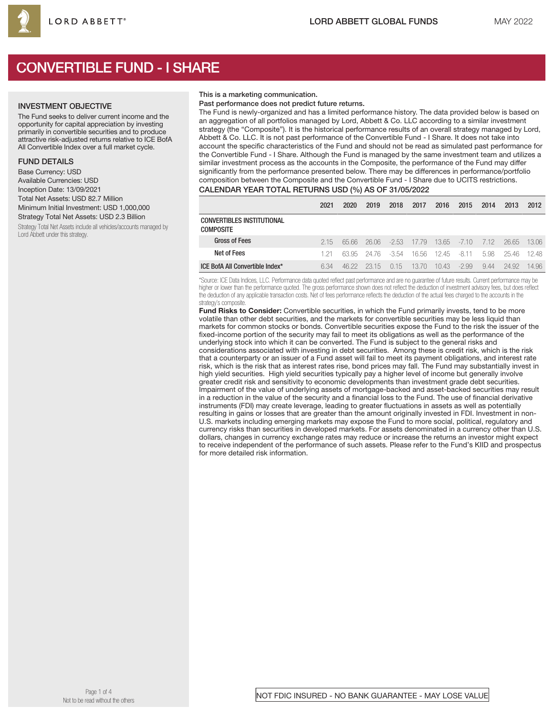

# CONVERTIBLE FUND - I SHARE

### INVESTMENT OBJECTIVE

The Fund seeks to deliver current income and the opportunity for capital appreciation by investing primarily in convertible securities and to produce attractive risk-adjusted returns relative to ICE BofA All Convertible Index over a full market cycle.

### FUND DETAILS

Base Currency: USD Available Currencies: USD Inception Date: 13/09/2021 Total Net Assets: USD 82.7 Million Minimum Initial Investment: USD 1,000,000 Strategy Total Net Assets: USD 2.3 Billion

Strategy Total Net Assets include all vehicles/accounts managed by Lord Abbett under this strategy.

### This is a marketing communication.

### Past performance does not predict future returns.

The Fund is newly-organized and has a limited performance history. The data provided below is based on an aggregation of all portfolios managed by Lord, Abbett & Co. LLC according to a similar investment strategy (the "Composite"). It is the historical performance results of an overall strategy managed by Lord, Abbett & Co. LLC. It is not past performance of the Convertible Fund - I Share. It does not take into account the specific characteristics of the Fund and should not be read as simulated past performance for the Convertible Fund - I Share. Although the Fund is managed by the same investment team and utilizes a similar investment process as the accounts in the Composite, the performance of the Fund may differ significantly from the performance presented below. There may be differences in performance/portfolio composition between the Composite and the Convertible Fund - I Share due to UCITS restrictions.

|                                         | 2021 | 2020  | 2019   | 2018    | 2017  | 2016           | 2015    | 2014 | 2013  | 2012  |
|-----------------------------------------|------|-------|--------|---------|-------|----------------|---------|------|-------|-------|
| CONVERTIBLES INSTITUTIONAL<br>COMPOSITE |      |       |        |         |       |                |         |      |       |       |
| <b>Gross of Fees</b>                    | 2.15 | 65.66 | 26.06  | $-2.53$ | 17.79 | $13.65 - 7.10$ |         | 7.12 | 26.65 | 13.06 |
| Net of Fees                             | 1 21 | 63.95 | -24.76 | -3.54   | 16.56 | - 12.45        | -8.11   | 5.98 | 25.46 | 12.48 |
| ICE BofA All Convertible Index*         | 6.34 | 46.22 | 23.15  | 0.15    | 13.70 | 10.43          | $-2.99$ | 9.44 | 24.92 | 14.96 |

\*Source: ICE Data Indices, LLC. Performance data quoted reflect past performance and are no guarantee of future results. Current performance may be higher or lower than the performance quoted. The gross performance shown does not reflect the deduction of investment advisory fees, but does reflect the deduction of any applicable transaction costs. Net of fees performance reflects the deduction of the actual fees charged to the accounts in the strategy's composite.

Fund Risks to Consider: Convertible securities, in which the Fund primarily invests, tend to be more volatile than other debt securities, and the markets for convertible securities may be less liquid than markets for common stocks or bonds. Convertible securities expose the Fund to the risk the issuer of the fixed-income portion of the security may fail to meet its obligations as well as the performance of the underlying stock into which it can be converted. The Fund is subject to the general risks and considerations associated with investing in debt securities. Among these is credit risk, which is the risk that a counterparty or an issuer of a Fund asset will fail to meet its payment obligations, and interest rate risk, which is the risk that as interest rates rise, bond prices may fall. The Fund may substantially invest in high yield securities. High yield securities typically pay a higher level of income but generally involve greater credit risk and sensitivity to economic developments than investment grade debt securities. Impairment of the value of underlying assets of mortgage-backed and asset-backed securities may result in a reduction in the value of the security and a financial loss to the Fund. The use of financial derivative instruments (FDI) may create leverage, leading to greater fluctuations in assets as well as potentially resulting in gains or losses that are greater than the amount originally invested in FDI. Investment in non-U.S. markets including emerging markets may expose the Fund to more social, political, regulatory and currency risks than securities in developed markets. For assets denominated in a currency other than U.S. dollars, changes in currency exchange rates may reduce or increase the returns an investor might expect to receive independent of the performance of such assets. Please refer to the Fund's KIID and prospectus for more detailed risk information.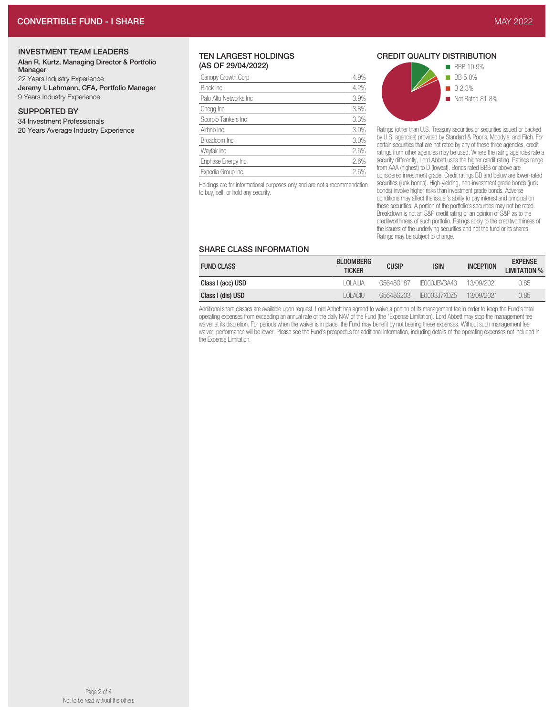# INVESTMENT TEAM LEADERS

#### Alan R. Kurtz, Managing Director & Portfolio Manager

22 Years Industry Experience Jeremy I. Lehmann, CFA, Portfolio Manager 9 Years Industry Experience

# SUPPORTED BY

34 Investment Professionals

20 Years Average Industry Experience

### TEN LARGEST HOLDINGS (AS OF 29/04/2022)

| 4.9% |
|------|
| 4.2% |
| 3.9% |
| 3.8% |
| 3.3% |
| 3.0% |
| 3.0% |
| 2.6% |
| 2.6% |
| 2.6% |
|      |

Holdings are for informational purposes only and are not a recommendation to buy, sell, or hold any security.

# CREDIT QUALITY DISTRIBUTION



Ratings (other than U.S. Treasury securities or securities issued or backed by U.S. agencies) provided by Standard & Poor's, Moody's, and Fitch. For certain securities that are not rated by any of these three agencies, credit ratings from other agencies may be used. Where the rating agencies rate a security differently, Lord Abbett uses the higher credit rating. Ratings range from AAA (highest) to D (lowest). Bonds rated BBB or above are considered investment grade. Credit ratings BB and below are lower-rated securities (junk bonds). High-yielding, non-investment grade bonds (junk bonds) involve higher risks than investment grade bonds. Adverse conditions may affect the issuer's ability to pay interest and principal on these securities. A portion of the portfolio's securities may not be rated. Breakdown is not an S&P credit rating or an opinion of S&P as to the creditworthiness of such portfolio. Ratings apply to the creditworthiness of the issuers of the underlying securities and not the fund or its shares. Ratings may be subject to change.

## SHARE CLASS INFORMATION

| <b>FUND CLASS</b> | <b>BLOOMBERG</b><br><b>TICKER</b> | <b>CUSIP</b> | ISIN          | <b>INCEPTION</b> | <b>EXPENSE</b><br><b>LIMITATION %</b> |  |  |
|-------------------|-----------------------------------|--------------|---------------|------------------|---------------------------------------|--|--|
| Class I (acc) USD | I OI AILIA                        | G5648G187    | IFOOO IBV3A43 | 13/09/2021       | 0.85                                  |  |  |
| Class I (dis) USD | LOLACILL                          | G5648G203    | IF0003.17XD75 | 13/09/2021       | 0.85                                  |  |  |

Additional share classes are available upon request. Lord Abbett has agreed to waive a portion of its management fee in order to keep the Fund's total operating expenses from exceeding an annual rate of the daily NAV of the Fund (the "Expense Limitation). Lord Abbett may stop the management fee waiver at its discretion. For periods when the waiver is in place, the Fund may benefit by not bearing these expenses. Without such management fee waiver, performance will be lower. Please see the Fund's prospectus for additional information, including details of the operating expenses not included in the Expense Limitation.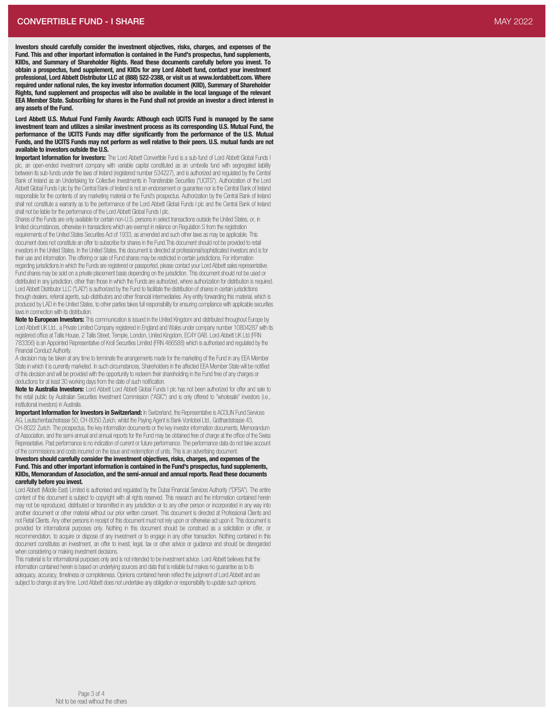Lord Abbett U.S. Mutual Fund Family Awards: Although each UCITS Fund is managed by the same investment team and utilizes a similar investment process as its corresponding U.S. Mutual Fund, the performance of the UCITS Funds may differ significantly from the performance of the U.S. Mutual Funds, and the UCITS Funds may not perform as well relative to their peers. U.S. mutual funds are not available to investors outside the U.S.

Important Information for Investors: The Lord Abbett Convertible Fund is a sub-fund of Lord Abbett Global Funds I plc, an open-ended investment company with variable capital constituted as an umbrella fund with segregated liability between its sub-funds under the laws of Ireland (registered number 534227), and is authorized and regulated by the Central<br>Bank of Ireland as an Undertaking for Collective Investments in Transferable Securities ("UCITS"). Abbett Global Funds I plc by the Central Bank of Ireland is not an endorsement or guarantee nor is the Central Bank of Ireland responsible for the contents of any marketing material or the Fund's prospectus. Authorization by the Central Bank of Ireland shall not constitute a warranty as to the performance of the Lord Abbett Global Funds I plc and the Central Bank of Ireland shall not be liable for the performance of the Lord Abbett Global Funds I plc.

Shares of the Funds are only available for certain non-U.S. persons in select transactions outside the United States, or, in limited circumstances, otherwise in transactions which are exempt in reliance on Regulation S from the registration requirements of the United States Securities Act of 1933, as amended and such other laws as may be applicable. Thi s document does not constitute an offer to subscribe for shares in the Fund.This document should not be provided to retail investors in the United States. In the United States, this document is directed at professional/sophisticated investors and is fo r their use and information. The offering or sale of Fund shares may be restricted in certain jurisdictions. For information regarding jurisdictions in which the Funds are registered or passported, please contact your Lord Abbett sales representative. Fund shares may be sold on a private placement basis depending on the jurisdiction. This document should not be used o r distributed in any jurisdiction, other than those in which the Funds are authorized, where authorization for distribution is required. Lord Abbett Distributor LLC ("LAD") is authorized by the Fund to facilitate the distribution of shares in certain jurisdictions through dealers, referral agents, sub-distributors and other financial intermediaries. Any entity forwarding thi s material, which is produced by LAD in the United States, to other parties takes full responsibility for ensuring compliance with applicable securities laws in connection with its distribution.

Note to European Investors: This communication is issued in the United Kingdom and distributed throughout Europe by Lord Abbett UK Ltd., a Private Limited Company registered in England and Wales under company number 10804287 with its registered office at Tallis House, 2 Tallis Street, Temple, London, United Kingdom, EC4Y 0AB. Lord Abbett UK Ltd (FRN 783356) is an Appointed Representative of Kroll Securities Limited (FRN 466588) which is authorised and regulated by the Financial Conduct Authority.

A decision may be taken at any time to terminate the arrangements made for the marketing of the Fund in any EEA Membe r State in which it is currently marketed. In such circumstances, Shareholders in the affected EEA Member State will be notified of this decision and will be provided with the opportunity to redeem their shareholding in the Fund free of any charges o r deductions for at least 30 working days from the date of such notification.

Note to Australia Investors: Lord Abbett Lord Abbett Global Funds I plc has not been authorized for offer and sale to the retail public by Australian Securities Investment Commission ("ASIC") and is only offered to "wholesale" investors (i.e., institutional investors) in Australia.

Important Information for Investors in Switzerland: In Switzerland, the Representative is ACOLIN Fund Services AG, Leutschenbachstrasse 50, CH-8050 Zurich, whilst the Paying Agent is Bank Vontobel Ltd., Gotthardstrasse 43, CH-8022 Zurich. The prospectus, the key information documents or the key investor information documents, Memorandum of Association, and the semi-annual and annual reports for the Fund may be obtained free of charge at the office of the Swiss Represetative. Past performance is no indication of current or future performance. The performance data do not take account of the commissions and costs incurred on the issue and redemption of units. This is an advertising document.

#### Investors should carefully consider the investment objectives, risks, charges, and expenses of th e Fund. This and other important information is contained in the Fund's prospectus, fund supplements, KIIDs, Memorandum of Association, and the semi-annual and annual reports. Read these documents carefully before you invest.

Lord Abbett (Middle East) Limited is authorised and regulated by the Dubai Financial Services Authority ("DFSA"). The entire content of this document is subject to copyright with all rights reserved. This research and the information contained herein may not be reproduced, distributed or transmitted in any jurisdiction or to any other person or incorporated in any way into another document or other material without our prior written consent. This document is directed at Professional Clients and not Retail Clients. Any other persons in receipt of this document must not rely upon or otherwise act upon it. This document i s provided for informational purposes only. Nothing in this document should be construed as a solicitation or offer, o r recommendation, to acquire or dispose of any investment or to engage in any other transaction. Nothing contained in thi s document constitutes an investment, an offer to invest, legal, tax or other advice or guidance and should be disregarded when considering or making investment decisions.

This material is for informational purposes only and is not intended to be investment advice. Lord Abbett believes that the information contained herein is based on underlying sources and data that is reliable but makes no guarantee as to its adequacy, accuracy, timeliness or completeness. Opinions contained herein reflect the judgment of Lord Abbett and are subject to change at any time. Lord Abbett does not undertake any obligation or responsibility to update such opinions.